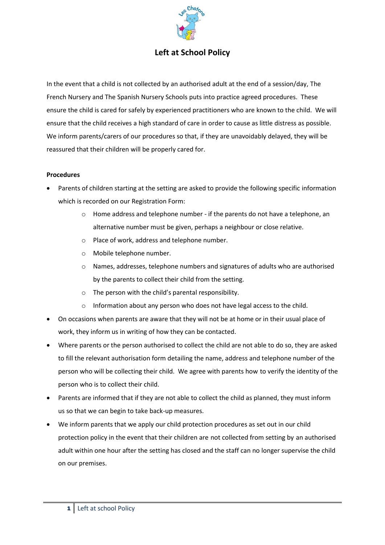

## **Left at School Policy**

In the event that a child is not collected by an authorised adult at the end of a session/day, The French Nursery and The Spanish Nursery Schools puts into practice agreed procedures. These ensure the child is cared for safely by experienced practitioners who are known to the child. We will ensure that the child receives a high standard of care in order to cause as little distress as possible. We inform parents/carers of our procedures so that, if they are unavoidably delayed, they will be reassured that their children will be properly cared for.

## **Procedures**

- Parents of children starting at the setting are asked to provide the following specific information which is recorded on our Registration Form:
	- $\circ$  Home address and telephone number if the parents do not have a telephone, an alternative number must be given, perhaps a neighbour or close relative.
	- o Place of work, address and telephone number.
	- o Mobile telephone number.
	- o Names, addresses, telephone numbers and signatures of adults who are authorised by the parents to collect their child from the setting.
	- o The person with the child's parental responsibility.
	- o Information about any person who does not have legal access to the child.
- On occasions when parents are aware that they will not be at home or in their usual place of work, they inform us in writing of how they can be contacted.
- Where parents or the person authorised to collect the child are not able to do so, they are asked to fill the relevant authorisation form detailing the name, address and telephone number of the person who will be collecting their child. We agree with parents how to verify the identity of the person who is to collect their child.
- Parents are informed that if they are not able to collect the child as planned, they must inform us so that we can begin to take back-up measures.
- We inform parents that we apply our child protection procedures as set out in our child protection policy in the event that their children are not collected from setting by an authorised adult within one hour after the setting has closed and the staff can no longer supervise the child on our premises.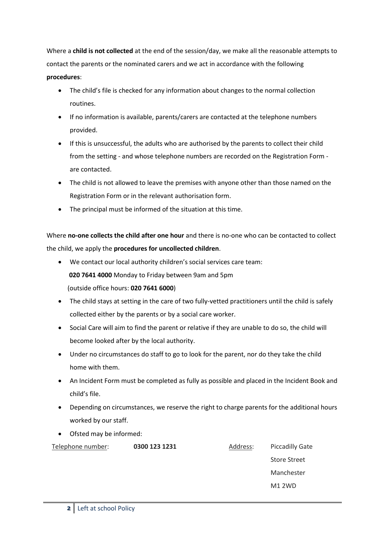Where a **child is not collected** at the end of the session/day, we make all the reasonable attempts to contact the parents or the nominated carers and we act in accordance with the following **procedures**:

- The child's file is checked for any information about changes to the normal collection routines.
- If no information is available, parents/carers are contacted at the telephone numbers provided.
- If this is unsuccessful, the adults who are authorised by the parents to collect their child from the setting - and whose telephone numbers are recorded on the Registration Form are contacted.
- The child is not allowed to leave the premises with anyone other than those named on the Registration Form or in the relevant authorisation form.
- The principal must be informed of the situation at this time.

Where **no-one collects the child after one hour** and there is no-one who can be contacted to collect the child, we apply the **procedures for uncollected children**.

- We contact our local authority children's social services care team: **020 7641 4000** Monday to Friday between 9am and 5pm (outside office hours: **020 7641 6000**)
- The child stays at setting in the care of two fully-vetted practitioners until the child is safely collected either by the parents or by a social care worker.
- Social Care will aim to find the parent or relative if they are unable to do so, the child will become looked after by the local authority.
- Under no circumstances do staff to go to look for the parent, nor do they take the child home with them.
- An Incident Form must be completed as fully as possible and placed in the Incident Book and child's file.
- Depending on circumstances, we reserve the right to charge parents for the additional hours worked by our staff.
- Ofsted may be informed:

| Telephone number: | 0300 123 1231 | Address: | <b>Piccadilly Gate</b> |
|-------------------|---------------|----------|------------------------|
|                   |               |          |                        |

Store Street Manchester M1 2WD